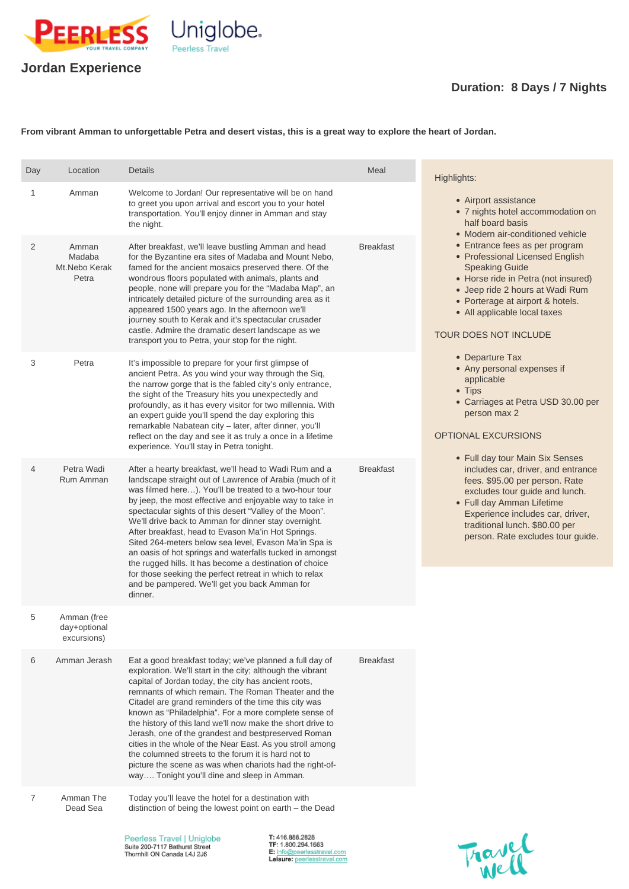

## **Jordan Experience**

## **Duration: 8 Days / 7 Nights**

**From vibrant Amman to unforgettable Petra and desert vistas, this is a great way to explore the heart of Jordan.**

exploration. We'll start in the city; although the vibrant capital of Jordan today, the city has ancient roots, remnants of which remain. The Roman Theater and the Citadel are grand reminders of the time this city was known as "Philadelphia". For a more complete sense of the history of this land we'll now make the short drive to Jerash, one of the grandest and bestpreserved Roman cities in the whole of the Near East. As you stroll among the columned streets to the forum it is hard not to picture the scene as was when chariots had the right-ofway.... Tonight you'll dine and sleep in Amman.

| Day            | Location                                   | <b>Details</b>                                                                                                                                                                                                                                                                                                                                                                                                                                                                                                                                                                                                                                               | Meal             | Highlights:                                                                                                                                                                                                                                                                                                                                                                                                                                                                                                                                                                                                                                                                                                                                                                                                                                             |
|----------------|--------------------------------------------|--------------------------------------------------------------------------------------------------------------------------------------------------------------------------------------------------------------------------------------------------------------------------------------------------------------------------------------------------------------------------------------------------------------------------------------------------------------------------------------------------------------------------------------------------------------------------------------------------------------------------------------------------------------|------------------|---------------------------------------------------------------------------------------------------------------------------------------------------------------------------------------------------------------------------------------------------------------------------------------------------------------------------------------------------------------------------------------------------------------------------------------------------------------------------------------------------------------------------------------------------------------------------------------------------------------------------------------------------------------------------------------------------------------------------------------------------------------------------------------------------------------------------------------------------------|
| 1              | Amman                                      | Welcome to Jordan! Our representative will be on hand<br>to greet you upon arrival and escort you to your hotel<br>transportation. You'll enjoy dinner in Amman and stay<br>the night.                                                                                                                                                                                                                                                                                                                                                                                                                                                                       |                  | • Airport assistance<br>• 7 nights hotel accommodation on<br>half board basis<br>• Modern air-conditioned vehicle<br>• Entrance fees as per program<br>• Professional Licensed English<br><b>Speaking Guide</b><br>• Horse ride in Petra (not insured)<br>• Jeep ride 2 hours at Wadi Rum<br>• Porterage at airport & hotels.<br>• All applicable local taxes<br><b>TOUR DOES NOT INCLUDE</b><br>• Departure Tax<br>• Any personal expenses if<br>applicable<br>$\bullet$ Tips<br>• Carriages at Petra USD 30.00 per<br>person max 2<br><b>OPTIONAL EXCURSIONS</b><br>• Full day tour Main Six Senses<br>includes car, driver, and entrance<br>fees. \$95.00 per person. Rate<br>excludes tour quide and lunch.<br>• Full day Amman Lifetime<br>Experience includes car, driver,<br>traditional lunch. \$80.00 per<br>person. Rate excludes tour guide. |
| 2              | Amman<br>Madaba<br>Mt.Nebo Kerak<br>Petra  | After breakfast, we'll leave bustling Amman and head<br>for the Byzantine era sites of Madaba and Mount Nebo,<br>famed for the ancient mosaics preserved there. Of the<br>wondrous floors populated with animals, plants and<br>people, none will prepare you for the "Madaba Map", an<br>intricately detailed picture of the surrounding area as it<br>appeared 1500 years ago. In the afternoon we'll<br>journey south to Kerak and it's spectacular crusader<br>castle. Admire the dramatic desert landscape as we<br>transport you to Petra, your stop for the night.                                                                                    | <b>Breakfast</b> |                                                                                                                                                                                                                                                                                                                                                                                                                                                                                                                                                                                                                                                                                                                                                                                                                                                         |
| 3              | Petra                                      | It's impossible to prepare for your first glimpse of<br>ancient Petra. As you wind your way through the Siq,<br>the narrow gorge that is the fabled city's only entrance,<br>the sight of the Treasury hits you unexpectedly and<br>profoundly, as it has every visitor for two millennia. With<br>an expert guide you'll spend the day exploring this<br>remarkable Nabatean city - later, after dinner, you'll<br>reflect on the day and see it as truly a once in a lifetime<br>experience. You'll stay in Petra tonight.                                                                                                                                 |                  |                                                                                                                                                                                                                                                                                                                                                                                                                                                                                                                                                                                                                                                                                                                                                                                                                                                         |
| $\overline{4}$ | Petra Wadi<br>Rum Amman                    | After a hearty breakfast, we'll head to Wadi Rum and a<br>landscape straight out of Lawrence of Arabia (much of it<br>was filmed here). You'll be treated to a two-hour tour<br>by jeep, the most effective and enjoyable way to take in<br>spectacular sights of this desert "Valley of the Moon".<br>We'll drive back to Amman for dinner stay overnight.<br>After breakfast, head to Evason Ma'in Hot Springs.<br>Sited 264-meters below sea level, Evason Ma'in Spa is<br>an oasis of hot springs and waterfalls tucked in amongst<br>the rugged hills. It has become a destination of choice<br>for those seeking the perfect retreat in which to relax | <b>Breakfast</b> |                                                                                                                                                                                                                                                                                                                                                                                                                                                                                                                                                                                                                                                                                                                                                                                                                                                         |
|                |                                            | and be pampered. We'll get you back Amman for<br>dinner.                                                                                                                                                                                                                                                                                                                                                                                                                                                                                                                                                                                                     |                  |                                                                                                                                                                                                                                                                                                                                                                                                                                                                                                                                                                                                                                                                                                                                                                                                                                                         |
| 5              | Amman (free<br>day+optional<br>excursions) |                                                                                                                                                                                                                                                                                                                                                                                                                                                                                                                                                                                                                                                              |                  |                                                                                                                                                                                                                                                                                                                                                                                                                                                                                                                                                                                                                                                                                                                                                                                                                                                         |
|                |                                            |                                                                                                                                                                                                                                                                                                                                                                                                                                                                                                                                                                                                                                                              |                  |                                                                                                                                                                                                                                                                                                                                                                                                                                                                                                                                                                                                                                                                                                                                                                                                                                                         |

6 Amman Jerash Eat a good breakfast today; we've planned a full day of

Breakfast

7 Amman The Dead Sea Today you'll leave the hotel for a destination with distinction of being the lowest point on earth – the Dead

> Peerless Travel | Uniglobe Suite 200-7117 Bathurst Street Thornhill ON Canada L4J 2J6

T: 416.888.2828 TF: 1.800.294.1663 E: info@peerlesstravel.com Leisure: peerlesstravel.com